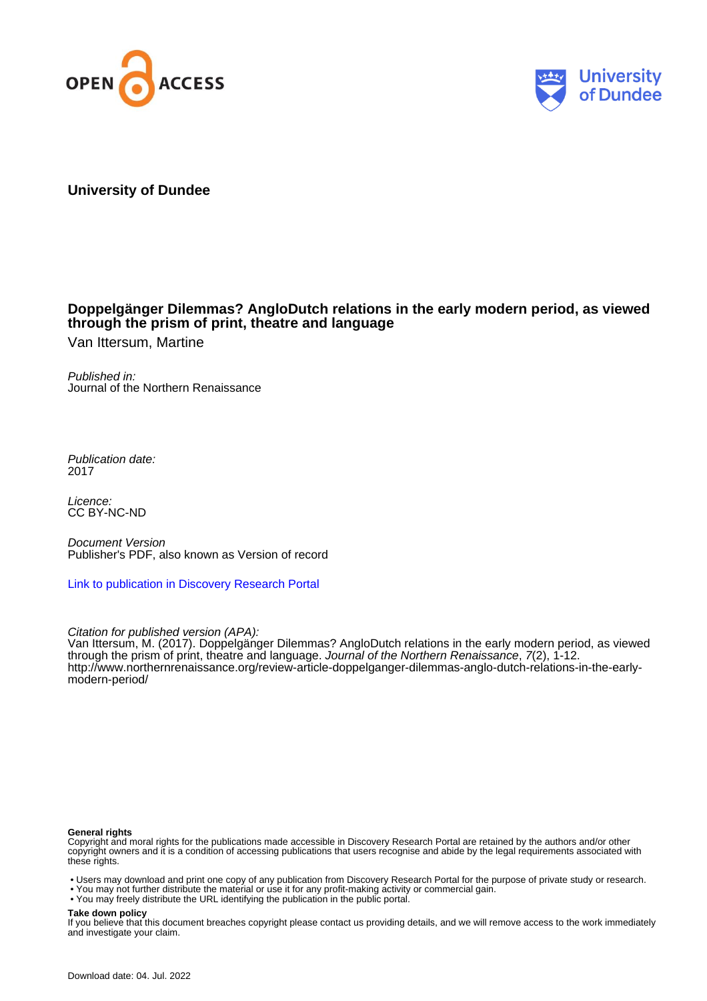



# **University of Dundee**

# **Doppelgänger Dilemmas? AngloDutch relations in the early modern period, as viewed through the prism of print, theatre and language**

Van Ittersum, Martine

Published in: Journal of the Northern Renaissance

Publication date: 2017

Licence: CC BY-NC-ND

Document Version Publisher's PDF, also known as Version of record

[Link to publication in Discovery Research Portal](https://discovery.dundee.ac.uk/en/publications/fcbadc55-565c-47c5-8eab-9fbb26838d70)

Citation for published version (APA):

Van Ittersum, M. (2017). Doppelgänger Dilemmas? AngloDutch relations in the early modern period, as viewed through the prism of print, theatre and language. Journal of the Northern Renaissance, 7(2), 1-12. [http://www.northernrenaissance.org/review-article-doppelganger-dilemmas-anglo-dutch-relations-in-the-early](http://www.northernrenaissance.org/review-article-doppelganger-dilemmas-anglo-dutch-relations-in-the-early-modern-period/)[modern-period/](http://www.northernrenaissance.org/review-article-doppelganger-dilemmas-anglo-dutch-relations-in-the-early-modern-period/)

### **General rights**

Copyright and moral rights for the publications made accessible in Discovery Research Portal are retained by the authors and/or other copyright owners and it is a condition of accessing publications that users recognise and abide by the legal requirements associated with these rights.

• Users may download and print one copy of any publication from Discovery Research Portal for the purpose of private study or research.

- You may not further distribute the material or use it for any profit-making activity or commercial gain.
- You may freely distribute the URL identifying the publication in the public portal.

### **Take down policy**

If you believe that this document breaches copyright please contact us providing details, and we will remove access to the work immediately and investigate your claim.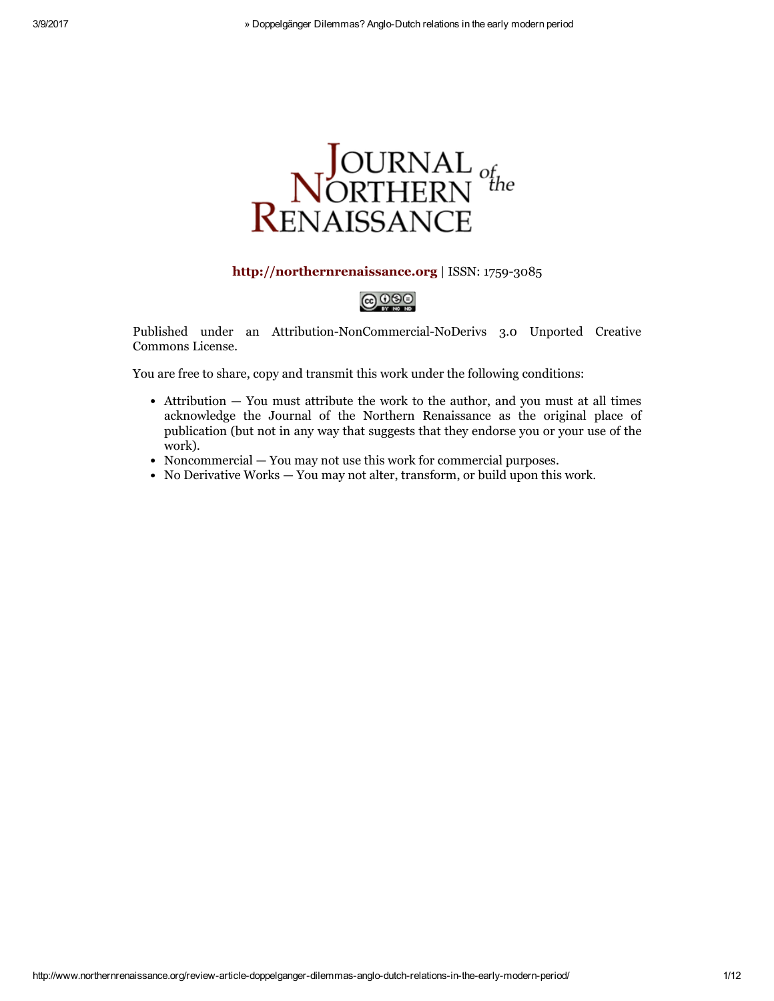

## [http://northernrenaissance.org](http://northernrenaissance.org/) | ISSN: 1759-3085



Published under an Attribution-NonCommercial-NoDerivs 3.0 Unported Creative Commons License.

You are free to share, copy and transmit this work under the following conditions:

- Attribution You must attribute the work to the author, and you must at all times acknowledge the Journal of the Northern Renaissance as the original place of publication (but not in any way that suggests that they endorse you or your use of the work).
- Noncommercial You may not use this work for commercial purposes.
- No Derivative Works You may not alter, transform, or build upon this work.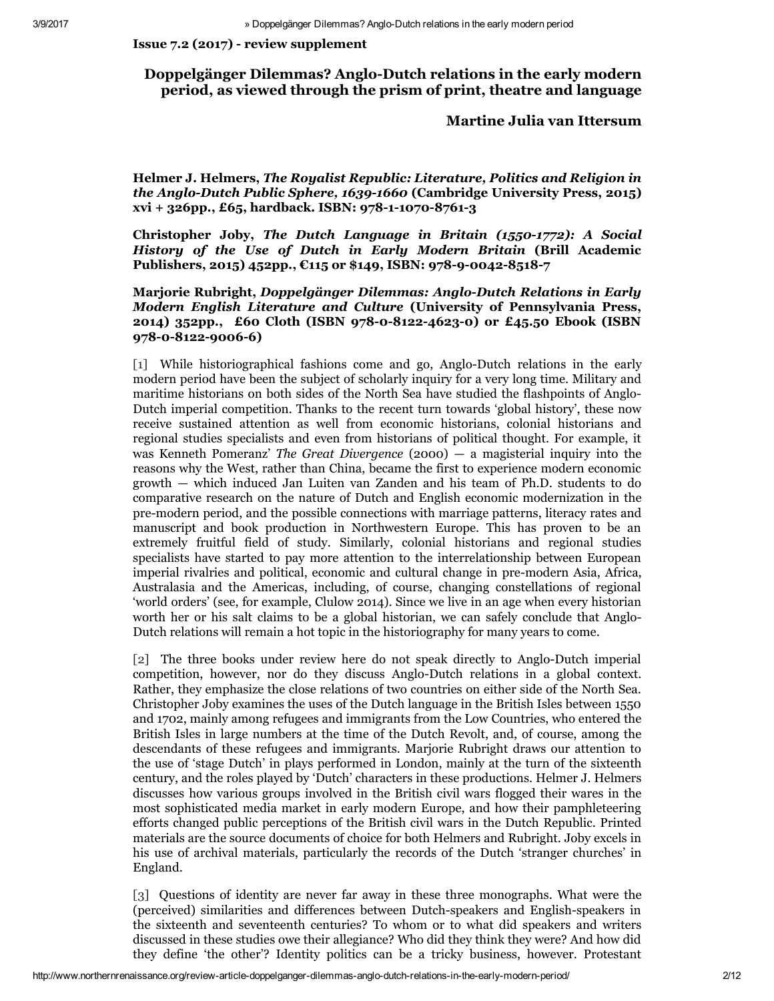## Issue 7.2 (2017) review supplement

# Doppelgänger Dilemmas? Anglo-Dutch relations in the early modern period, as viewed through the prism of print, theatre and language

## Martine Julia van Ittersum

Helmer J. Helmers, *The Royalist Republic: Literature, Politics and Religion in the Anglo-Dutch Public Sphere, 1639-1660* (Cambridge University Press, 2015)  $xvi + 326pp.$ , £65, hardback. ISBN: 978-1-1070-8761-3

Christopher Joby, *The Dutch Language in Britain (15501772): A Social History of the Use of Dutch in Early Modern Britain* (Brill Academic Publishers, 2015) 452pp.,  $E$ 115 or \$149, ISBN: 978-9-0042-8518-7

Marjorie Rubright, *Doppelgänger Dilemmas: AngloDutch Relations in Early Modern English Literature and Culture* (University of Pennsylvania Press, 2014) 352pp., £60 Cloth (ISBN 978-0-8122-4623-0) or £45.50 Ebook (ISBN 978-0-8122-9006-6)

[1] While historiographical fashions come and go, Anglo-Dutch relations in the early modern period have been the subject of scholarly inquiry for a very long time. Military and maritime historians on both sides of the North Sea have studied the flashpoints of Anglo-Dutch imperial competition. Thanks to the recent turn towards 'global history', these now receive sustained attention as well from economic historians, colonial historians and regional studies specialists and even from historians of political thought. For example, it was Kenneth Pomeranz' *The Great Divergence* (2000) — a magisterial inquiry into the reasons why the West, rather than China, became the first to experience modern economic growth — which induced Jan Luiten van Zanden and his team of Ph.D. students to do comparative research on the nature of Dutch and English economic modernization in the premodern period, and the possible connections with marriage patterns, literacy rates and manuscript and book production in Northwestern Europe. This has proven to be an extremely fruitful field of study. Similarly, colonial historians and regional studies specialists have started to pay more attention to the interrelationship between European imperial rivalries and political, economic and cultural change in pre-modern Asia, Africa, Australasia and the Americas, including, of course, changing constellations of regional 'world orders' (see, for example, Clulow 2014). Since we live in an age when every historian worth her or his salt claims to be a global historian, we can safely conclude that Anglo-Dutch relations will remain a hot topic in the historiography for many years to come.

[2] The three books under review here do not speak directly to Anglo-Dutch imperial competition, however, nor do they discuss Anglo-Dutch relations in a global context. Rather, they emphasize the close relations of two countries on either side of the North Sea. Christopher Joby examines the uses of the Dutch language in the British Isles between 1550 and 1702, mainly among refugees and immigrants from the Low Countries, who entered the British Isles in large numbers at the time of the Dutch Revolt, and, of course, among the descendants of these refugees and immigrants. Marjorie Rubright draws our attention to the use of 'stage Dutch' in plays performed in London, mainly at the turn of the sixteenth century, and the roles played by 'Dutch' characters in these productions. Helmer J. Helmers discusses how various groups involved in the British civil wars flogged their wares in the most sophisticated media market in early modern Europe, and how their pamphleteering efforts changed public perceptions of the British civil wars in the Dutch Republic. Printed materials are the source documents of choice for both Helmers and Rubright. Joby excels in his use of archival materials, particularly the records of the Dutch 'stranger churches' in England.

[3] Questions of identity are never far away in these three monographs. What were the (perceived) similarities and differences between Dutch-speakers and English-speakers in the sixteenth and seventeenth centuries? To whom or to what did speakers and writers discussed in these studies owe their allegiance? Who did they think they were? And how did they define 'the other'? Identity politics can be a tricky business, however. Protestant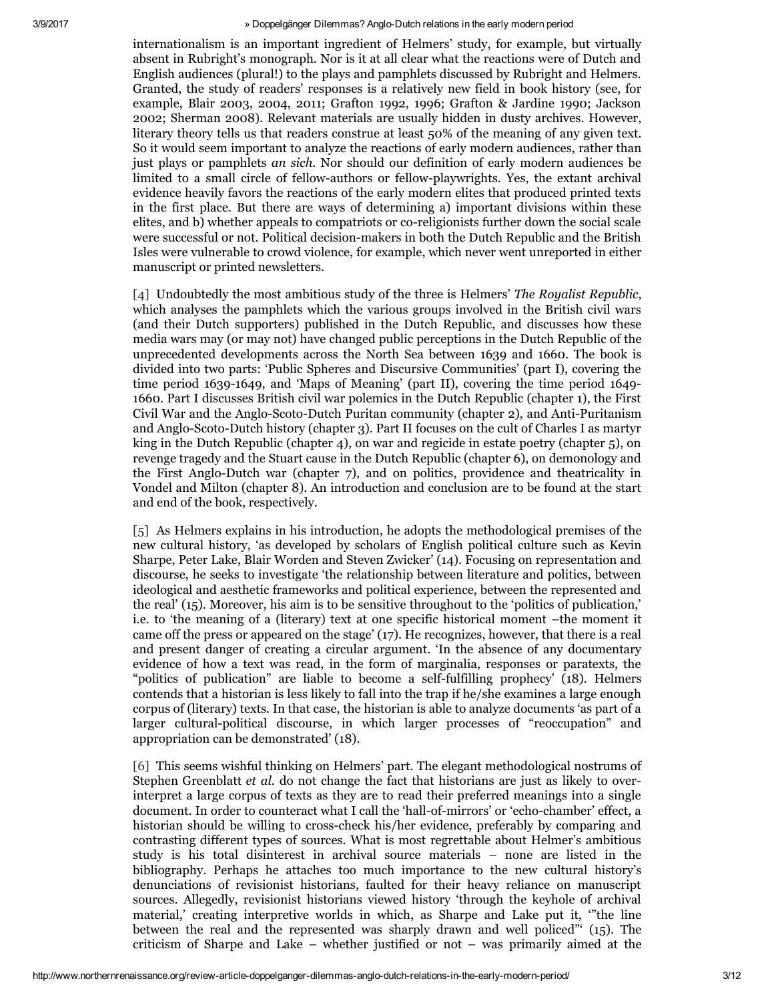internationalism is an important ingredient of Helmers' study, for example, but virtually absent in Rubright's monograph. Nor is it at all clear what the reactions were of Dutch and English audiences (plural!) to the plays and pamphlets discussed by Rubright and Helmers. Granted, the study of readers' responses is a relatively new field in book history (see, for example, Blair 2003, 2004, 2011; Grafton 1992, 1996; Grafton & Jardine 1990; Jackson 2002; Sherman 2008). Relevant materials are usually hidden in dusty archives. However, literary theory tells us that readers construe at least 50% of the meaning of any given text. So it would seem important to analyze the reactions of early modern audiences, rather than just plays or pamphlets *an sich*. Nor should our definition of early modern audiences be limited to a small circle of fellow-authors or fellow-playwrights. Yes, the extant archival evidence heavily favors the reactions of the early modern elites that produced printed texts in the first place. But there are ways of determining a) important divisions within these elites, and b) whether appeals to compatriots or coreligionists further down the social scale were successful or not. Political decision-makers in both the Dutch Republic and the British Isles were vulnerable to crowd violence, for example, which never went unreported in either manuscript or printed newsletters.

[4] Undoubtedly the most ambitious study of the three is Helmers' *The Royalist Republic*, which analyses the pamphlets which the various groups involved in the British civil wars (and their Dutch supporters) published in the Dutch Republic, and discusses how these media wars may (or may not) have changed public perceptions in the Dutch Republic of the unprecedented developments across the North Sea between 1639 and 1660. The book is divided into two parts: 'Public Spheres and Discursive Communities' (part I), covering the time period  $1639-1649$ , and 'Maps of Meaning' (part II), covering the time period  $1649-$ 1660. Part I discusses British civil war polemics in the Dutch Republic (chapter 1), the First Civil War and the Anglo-Scoto-Dutch Puritan community (chapter 2), and Anti-Puritanism and Anglo-Scoto-Dutch history (chapter 3). Part II focuses on the cult of Charles I as martyr king in the Dutch Republic (chapter 4), on war and regicide in estate poetry (chapter 5), on revenge tragedy and the Stuart cause in the Dutch Republic (chapter 6), on demonology and the First Anglo-Dutch war (chapter 7), and on politics, providence and theatricality in Vondel and Milton (chapter 8). An introduction and conclusion are to be found at the start and end of the book, respectively.

[5] As Helmers explains in his introduction, he adopts the methodological premises of the new cultural history, 'as developed by scholars of English political culture such as Kevin Sharpe, Peter Lake, Blair Worden and Steven Zwicker' (14). Focusing on representation and discourse, he seeks to investigate 'the relationship between literature and politics, between ideological and aesthetic frameworks and political experience, between the represented and the real' (15). Moreover, his aim is to be sensitive throughout to the 'politics of publication,' i.e. to 'the meaning of a (literary) text at one specific historical moment –the moment it came off the press or appeared on the stage' (17). He recognizes, however, that there is a real and present danger of creating a circular argument. 'In the absence of any documentary evidence of how a text was read, in the form of marginalia, responses or paratexts, the "politics of publication" are liable to become a self-fulfilling prophecy' (18). Helmers contends that a historian is less likely to fall into the trap if he/she examines a large enough corpus of (literary) texts. In that case, the historian is able to analyze documents 'as part of a larger cultural-political discourse, in which larger processes of "reoccupation" and appropriation can be demonstrated' (18).

[6] This seems wishful thinking on Helmers' part. The elegant methodological nostrums of Stephen Greenblatt *et al.* do not change the fact that historians are just as likely to overinterpret a large corpus of texts as they are to read their preferred meanings into a single document. In order to counteract what I call the 'hall-of-mirrors' or 'echo-chamber' effect, a historian should be willing to cross-check his/her evidence, preferably by comparing and contrasting different types of sources. What is most regrettable about Helmer's ambitious study is his total disinterest in archival source materials – none are listed in the bibliography. Perhaps he attaches too much importance to the new cultural history's denunciations of revisionist historians, faulted for their heavy reliance on manuscript sources. Allegedly, revisionist historians viewed history 'through the keyhole of archival material,' creating interpretive worlds in which, as Sharpe and Lake put it, '"the line between the real and the represented was sharply drawn and well policed"' (15). The criticism of Sharpe and Lake – whether justified or not – was primarily aimed at the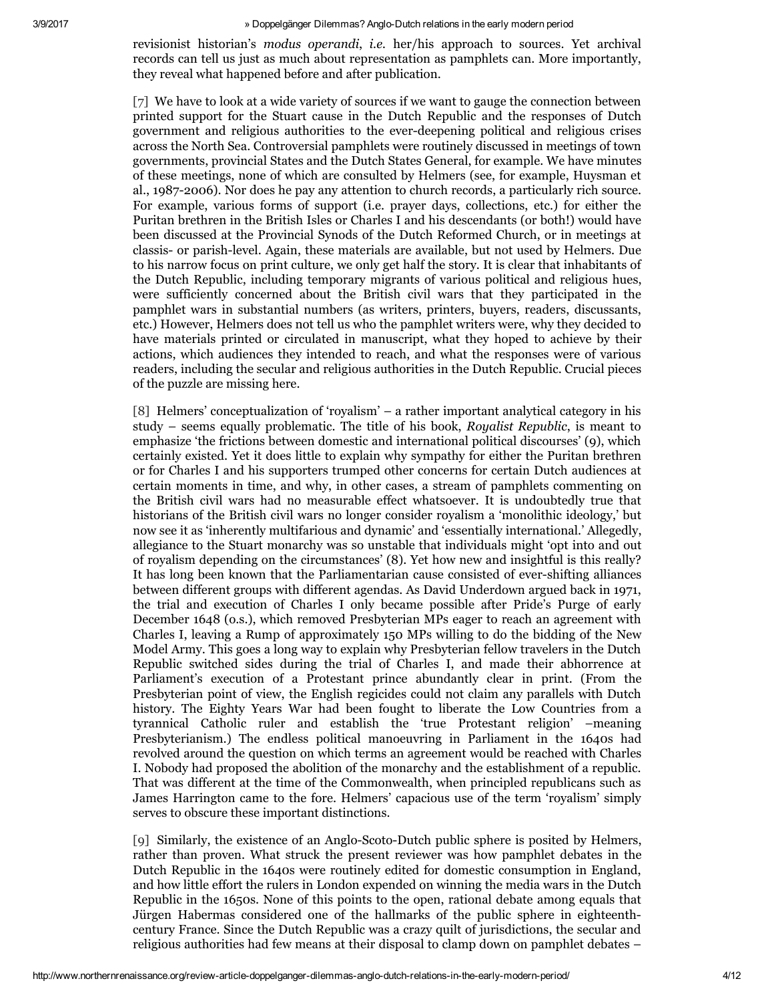revisionist historian's *modus operandi*, *i.e.* her/his approach to sources. Yet archival records can tell us just as much about representation as pamphlets can. More importantly, they reveal what happened before and after publication.

[7] We have to look at a wide variety of sources if we want to gauge the connection between printed support for the Stuart cause in the Dutch Republic and the responses of Dutch government and religious authorities to the everdeepening political and religious crises across the North Sea. Controversial pamphlets were routinely discussed in meetings of town governments, provincial States and the Dutch States General, for example. We have minutes of these meetings, none of which are consulted by Helmers (see, for example, Huysman et al., 1987-2006). Nor does he pay any attention to church records, a particularly rich source. For example, various forms of support (i.e. prayer days, collections, etc.) for either the Puritan brethren in the British Isles or Charles I and his descendants (or both!) would have been discussed at the Provincial Synods of the Dutch Reformed Church, or in meetings at classis or parishlevel. Again, these materials are available, but not used by Helmers. Due to his narrow focus on print culture, we only get half the story. It is clear that inhabitants of the Dutch Republic, including temporary migrants of various political and religious hues, were sufficiently concerned about the British civil wars that they participated in the pamphlet wars in substantial numbers (as writers, printers, buyers, readers, discussants, etc.) However, Helmers does not tell us who the pamphlet writers were, why they decided to have materials printed or circulated in manuscript, what they hoped to achieve by their actions, which audiences they intended to reach, and what the responses were of various readers, including the secular and religious authorities in the Dutch Republic. Crucial pieces of the puzzle are missing here.

[8] Helmers' conceptualization of 'royalism' – a rather important analytical category in his study – seems equally problematic. The title of his book, *Royalist Republic*, is meant to emphasize 'the frictions between domestic and international political discourses' (9), which certainly existed. Yet it does little to explain why sympathy for either the Puritan brethren or for Charles I and his supporters trumped other concerns for certain Dutch audiences at certain moments in time, and why, in other cases, a stream of pamphlets commenting on the British civil wars had no measurable effect whatsoever. It is undoubtedly true that historians of the British civil wars no longer consider royalism a 'monolithic ideology,' but now see it as 'inherently multifarious and dynamic' and 'essentially international.' Allegedly, allegiance to the Stuart monarchy was so unstable that individuals might 'opt into and out of royalism depending on the circumstances' (8). Yet how new and insightful is this really? It has long been known that the Parliamentarian cause consisted of evershifting alliances between different groups with different agendas. As David Underdown argued back in 1971, the trial and execution of Charles I only became possible after Pride's Purge of early December 1648 (o.s.), which removed Presbyterian MPs eager to reach an agreement with Charles I, leaving a Rump of approximately 150 MPs willing to do the bidding of the New Model Army. This goes a long way to explain why Presbyterian fellow travelers in the Dutch Republic switched sides during the trial of Charles I, and made their abhorrence at Parliament's execution of a Protestant prince abundantly clear in print. (From the Presbyterian point of view, the English regicides could not claim any parallels with Dutch history. The Eighty Years War had been fought to liberate the Low Countries from a tyrannical Catholic ruler and establish the 'true Protestant religion' –meaning Presbyterianism.) The endless political manoeuvring in Parliament in the 1640s had revolved around the question on which terms an agreement would be reached with Charles I. Nobody had proposed the abolition of the monarchy and the establishment of a republic. That was different at the time of the Commonwealth, when principled republicans such as James Harrington came to the fore. Helmers' capacious use of the term 'royalism' simply serves to obscure these important distinctions.

[9] Similarly, the existence of an Anglo-Scoto-Dutch public sphere is posited by Helmers, rather than proven. What struck the present reviewer was how pamphlet debates in the Dutch Republic in the 1640s were routinely edited for domestic consumption in England, and how little effort the rulers in London expended on winning the media wars in the Dutch Republic in the 1650s. None of this points to the open, rational debate among equals that Jürgen Habermas considered one of the hallmarks of the public sphere in eighteenthcentury France. Since the Dutch Republic was a crazy quilt of jurisdictions, the secular and religious authorities had few means at their disposal to clamp down on pamphlet debates –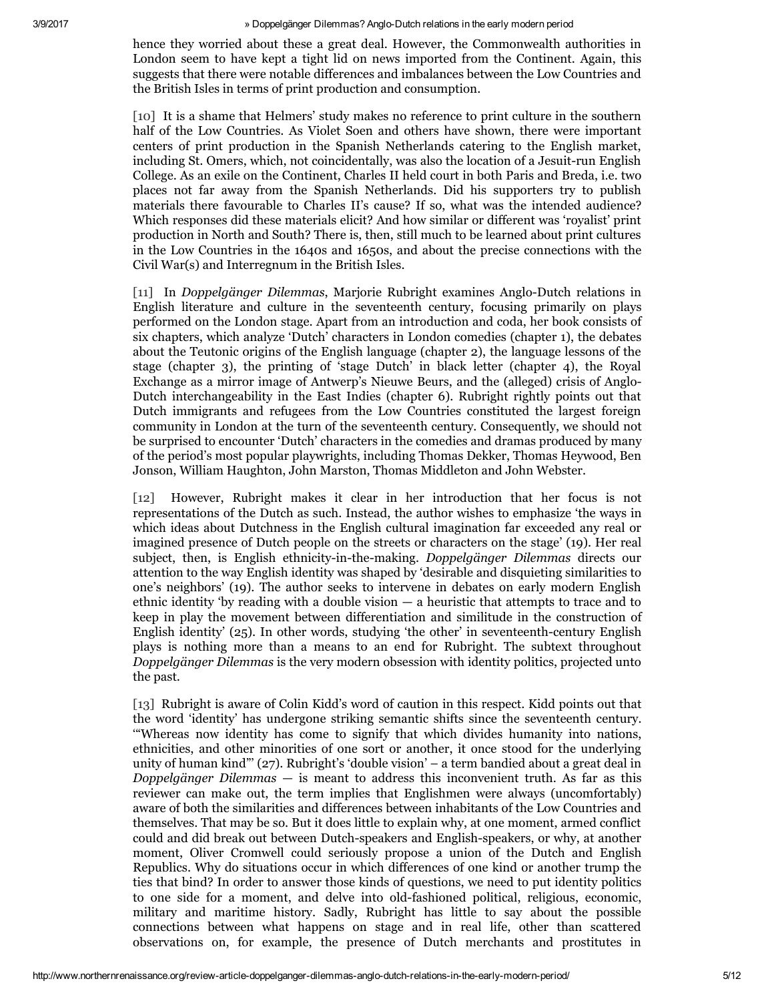hence they worried about these a great deal. However, the Commonwealth authorities in London seem to have kept a tight lid on news imported from the Continent. Again, this suggests that there were notable differences and imbalances between the Low Countries and the British Isles in terms of print production and consumption.

[10] It is a shame that Helmers' study makes no reference to print culture in the southern half of the Low Countries. As Violet Soen and others have shown, there were important centers of print production in the Spanish Netherlands catering to the English market, including St. Omers, which, not coincidentally, was also the location of a Jesuit-run English College. As an exile on the Continent, Charles II held court in both Paris and Breda, i.e. two places not far away from the Spanish Netherlands. Did his supporters try to publish materials there favourable to Charles II's cause? If so, what was the intended audience? Which responses did these materials elicit? And how similar or different was 'royalist' print production in North and South? There is, then, still much to be learned about print cultures in the Low Countries in the 1640s and 1650s, and about the precise connections with the Civil War(s) and Interregnum in the British Isles.

[11] In *Doppelgänger Dilemmas*, Marjorie Rubright examines Anglo-Dutch relations in English literature and culture in the seventeenth century, focusing primarily on plays performed on the London stage. Apart from an introduction and coda, her book consists of six chapters, which analyze 'Dutch' characters in London comedies (chapter 1), the debates about the Teutonic origins of the English language (chapter 2), the language lessons of the stage (chapter 3), the printing of 'stage Dutch' in black letter (chapter 4), the Royal Exchange as a mirror image of Antwerp's Nieuwe Beurs, and the (alleged) crisis of Anglo-Dutch interchangeability in the East Indies (chapter 6). Rubright rightly points out that Dutch immigrants and refugees from the Low Countries constituted the largest foreign community in London at the turn of the seventeenth century. Consequently, we should not be surprised to encounter 'Dutch' characters in the comedies and dramas produced by many of the period's most popular playwrights, including Thomas Dekker, Thomas Heywood, Ben Jonson, William Haughton, John Marston, Thomas Middleton and John Webster.

[12] However, Rubright makes it clear in her introduction that her focus is not representations of the Dutch as such. Instead, the author wishes to emphasize 'the ways in which ideas about Dutchness in the English cultural imagination far exceeded any real or imagined presence of Dutch people on the streets or characters on the stage' (19). Her real subject, then, is English ethnicity-in-the-making. *Doppelgänger Dilemmas* directs our attention to the way English identity was shaped by 'desirable and disquieting similarities to one's neighbors' (19). The author seeks to intervene in debates on early modern English ethnic identity 'by reading with a double vision  $-$  a heuristic that attempts to trace and to keep in play the movement between differentiation and similitude in the construction of English identity'  $(25)$ . In other words, studying 'the other' in seventeenth-century English plays is nothing more than a means to an end for Rubright. The subtext throughout *Doppelgänger Dilemmas* is the very modern obsession with identity politics, projected unto the past.

[13] Rubright is aware of Colin Kidd's word of caution in this respect. Kidd points out that the word 'identity' has undergone striking semantic shifts since the seventeenth century. '"Whereas now identity has come to signify that which divides humanity into nations, ethnicities, and other minorities of one sort or another, it once stood for the underlying unity of human kind"' (27). Rubright's 'double vision' – a term bandied about a great deal in *Doppelgänger Dilemmas* — is meant to address this inconvenient truth. As far as this reviewer can make out, the term implies that Englishmen were always (uncomfortably) aware of both the similarities and differences between inhabitants of the Low Countries and themselves. That may be so. But it does little to explain why, at one moment, armed conflict could and did break out between Dutch-speakers and English-speakers, or why, at another moment, Oliver Cromwell could seriously propose a union of the Dutch and English Republics. Why do situations occur in which differences of one kind or another trump the ties that bind? In order to answer those kinds of questions, we need to put identity politics to one side for a moment, and delve into old-fashioned political, religious, economic, military and maritime history. Sadly, Rubright has little to say about the possible connections between what happens on stage and in real life, other than scattered observations on, for example, the presence of Dutch merchants and prostitutes in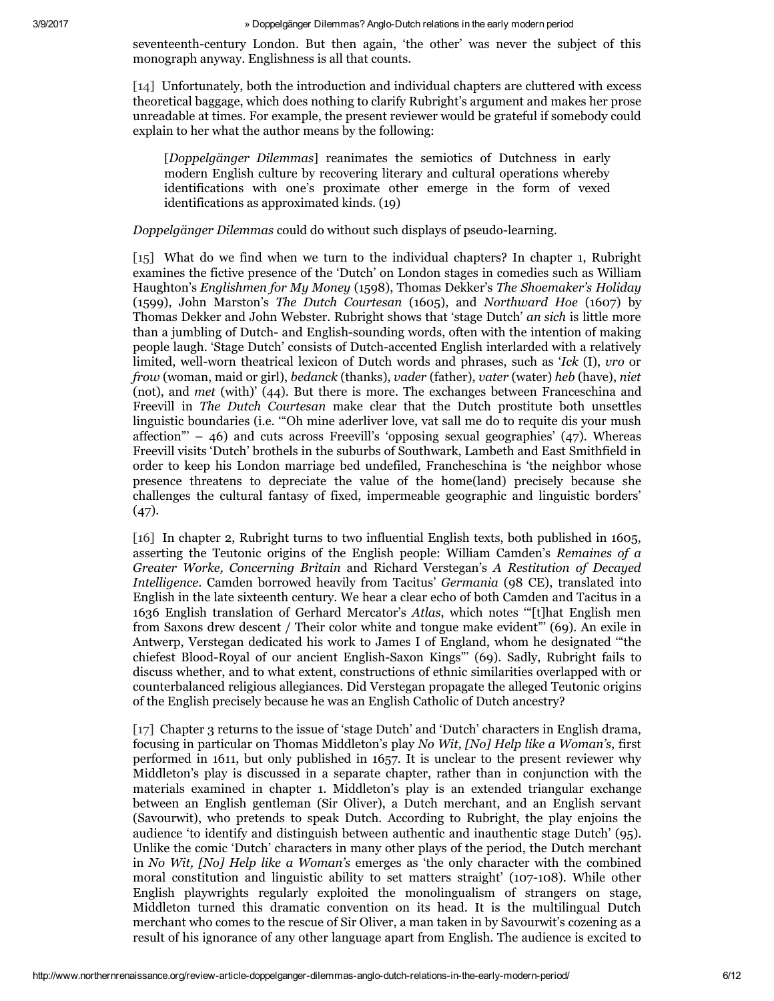seventeenth-century London. But then again, 'the other' was never the subject of this monograph anyway. Englishness is all that counts.

[14] Unfortunately, both the introduction and individual chapters are cluttered with excess theoretical baggage, which does nothing to clarify Rubright's argument and makes her prose unreadable at times. For example, the present reviewer would be grateful if somebody could explain to her what the author means by the following:

[*Doppelgänger Dilemmas*] reanimates the semiotics of Dutchness in early modern English culture by recovering literary and cultural operations whereby identifications with one's proximate other emerge in the form of vexed identifications as approximated kinds. (19)

## *Doppelgänger Dilemmas* could do without such displays of pseudo-learning.

[15] What do we find when we turn to the individual chapters? In chapter 1, Rubright examines the fictive presence of the 'Dutch' on London stages in comedies such as William Haughton's *Englishmen for My Money* (1598), Thomas Dekker's *The Shoemaker's Holiday* (1599), John Marston's *The Dutch Courtesan* (1605), and *Northward Hoe* (1607) by Thomas Dekker and John Webster. Rubright shows that 'stage Dutch' *an sich* is little more than a jumbling of Dutch- and English-sounding words, often with the intention of making people laugh. 'Stage Dutch' consists of Dutch-accented English interlarded with a relatively limited, well-worn theatrical lexicon of Dutch words and phrases, such as 'Ick (I), *vro* or *frow* (woman, maid or girl), *bedanck* (thanks), *vader* (father), *vater* (water) *heb* (have), *niet* (not), and *met* (with)' (44). But there is more. The exchanges between Franceschina and Freevill in *The Dutch Courtesan* make clear that the Dutch prostitute both unsettles linguistic boundaries (i.e. '"Oh mine aderliver love, vat sall me do to requite dis your mush affection<sup> $m - 46$ </sup>) and cuts across Freevill's 'opposing sexual geographies' (47). Whereas Freevill visits 'Dutch' brothels in the suburbs of Southwark, Lambeth and East Smithfield in order to keep his London marriage bed undefiled, Francheschina is 'the neighbor whose presence threatens to depreciate the value of the home(land) precisely because she challenges the cultural fantasy of fixed, impermeable geographic and linguistic borders' (47).

[16] In chapter 2, Rubright turns to two influential English texts, both published in 1605, asserting the Teutonic origins of the English people: William Camden's *Remaines of a Greater Worke, Concerning Britain* and Richard Verstegan's *A Restitution of Decayed Intelligence*. Camden borrowed heavily from Tacitus' *Germania* (98 CE), translated into English in the late sixteenth century. We hear a clear echo of both Camden and Tacitus in a 1636 English translation of Gerhard Mercator's *Atlas*, which notes '"[t]hat English men from Saxons drew descent / Their color white and tongue make evident"' (69). An exile in Antwerp, Verstegan dedicated his work to James I of England, whom he designated '"the chiefest Blood-Royal of our ancient English-Saxon Kings"' (69). Sadly, Rubright fails to discuss whether, and to what extent, constructions of ethnic similarities overlapped with or counterbalanced religious allegiances. Did Verstegan propagate the alleged Teutonic origins of the English precisely because he was an English Catholic of Dutch ancestry?

[17] Chapter 3 returns to the issue of 'stage Dutch' and 'Dutch' characters in English drama, focusing in particular on Thomas Middleton's play *No Wit, [No] Help like a Woman's*, first performed in 1611, but only published in 1657. It is unclear to the present reviewer why Middleton's play is discussed in a separate chapter, rather than in conjunction with the materials examined in chapter 1. Middleton's play is an extended triangular exchange between an English gentleman (Sir Oliver), a Dutch merchant, and an English servant (Savourwit), who pretends to speak Dutch. According to Rubright, the play enjoins the audience 'to identify and distinguish between authentic and inauthentic stage Dutch' (95). Unlike the comic 'Dutch' characters in many other plays of the period, the Dutch merchant in *No Wit, [No] Help like a Woman's* emerges as 'the only character with the combined moral constitution and linguistic ability to set matters straight' (107-108). While other English playwrights regularly exploited the monolingualism of strangers on stage, Middleton turned this dramatic convention on its head. It is the multilingual Dutch merchant who comes to the rescue of Sir Oliver, a man taken in by Savourwit's cozening as a result of his ignorance of any other language apart from English. The audience is excited to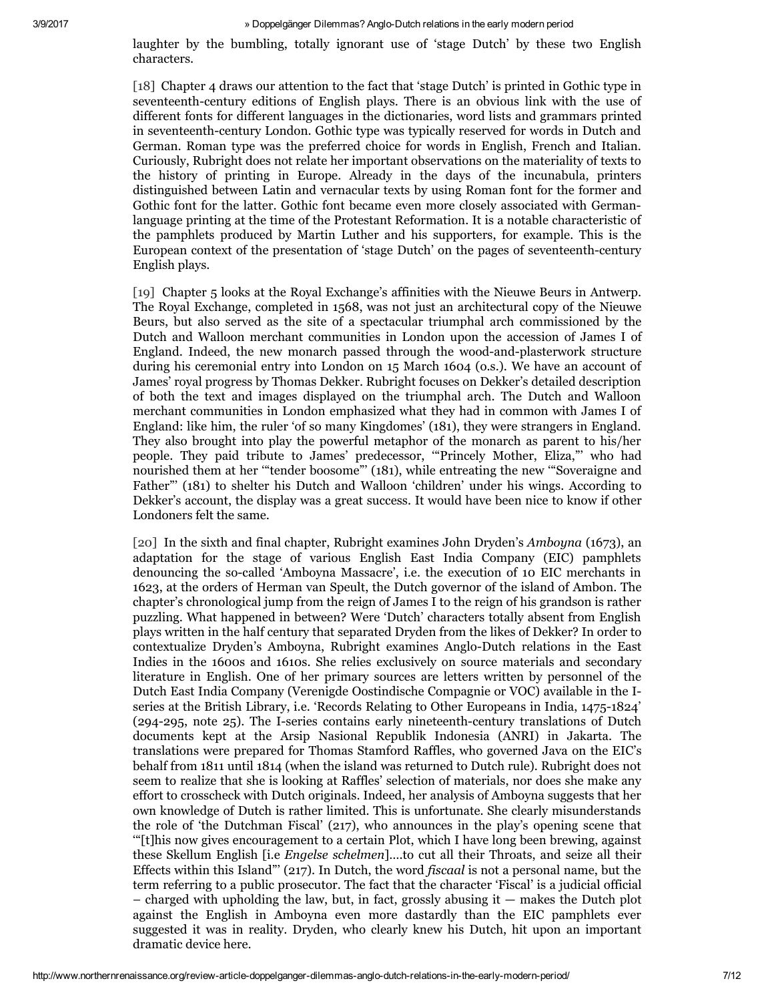laughter by the bumbling, totally ignorant use of 'stage Dutch' by these two English characters.

[18] Chapter 4 draws our attention to the fact that 'stage Dutch' is printed in Gothic type in seventeenth-century editions of English plays. There is an obvious link with the use of different fonts for different languages in the dictionaries, word lists and grammars printed in seventeenth-century London. Gothic type was typically reserved for words in Dutch and German. Roman type was the preferred choice for words in English, French and Italian. Curiously, Rubright does not relate her important observations on the materiality of texts to the history of printing in Europe. Already in the days of the incunabula, printers distinguished between Latin and vernacular texts by using Roman font for the former and Gothic font for the latter. Gothic font became even more closely associated with Germanlanguage printing at the time of the Protestant Reformation. It is a notable characteristic of the pamphlets produced by Martin Luther and his supporters, for example. This is the European context of the presentation of 'stage Dutch' on the pages of seventeenth-century English plays.

[19] Chapter 5 looks at the Royal Exchange's affinities with the Nieuwe Beurs in Antwerp. The Royal Exchange, completed in 1568, was not just an architectural copy of the Nieuwe Beurs, but also served as the site of a spectacular triumphal arch commissioned by the Dutch and Walloon merchant communities in London upon the accession of James I of England. Indeed, the new monarch passed through the wood-and-plasterwork structure during his ceremonial entry into London on 15 March 1604 (o.s.). We have an account of James' royal progress by Thomas Dekker. Rubright focuses on Dekker's detailed description of both the text and images displayed on the triumphal arch. The Dutch and Walloon merchant communities in London emphasized what they had in common with James I of England: like him, the ruler 'of so many Kingdomes' (181), they were strangers in England. They also brought into play the powerful metaphor of the monarch as parent to his/her people. They paid tribute to James' predecessor, '"Princely Mother, Eliza,"' who had nourished them at her '"tender boosome"' (181), while entreating the new '"Soveraigne and Father"' (181) to shelter his Dutch and Walloon 'children' under his wings. According to Dekker's account, the display was a great success. It would have been nice to know if other Londoners felt the same.

[20] In the sixth and final chapter, Rubright examines John Dryden's *Amboyna* (1673), an adaptation for the stage of various English East India Company (EIC) pamphlets denouncing the socalled 'Amboyna Massacre', i.e. the execution of 10 EIC merchants in 1623, at the orders of Herman van Speult, the Dutch governor of the island of Ambon. The chapter's chronological jump from the reign of James I to the reign of his grandson is rather puzzling. What happened in between? Were 'Dutch' characters totally absent from English plays written in the half century that separated Dryden from the likes of Dekker? In order to contextualize Dryden's Amboyna, Rubright examines Anglo-Dutch relations in the East Indies in the 1600s and 1610s. She relies exclusively on source materials and secondary literature in English. One of her primary sources are letters written by personnel of the Dutch East India Company (Verenigde Oostindische Compagnie or VOC) available in the Iseries at the British Library, i.e. 'Records Relating to Other Europeans in India, 1475-1824'  $(294-295, \text{ note } 25)$ . The I-series contains early nineteenth-century translations of Dutch documents kept at the Arsip Nasional Republik Indonesia (ANRI) in Jakarta. The translations were prepared for Thomas Stamford Raffles, who governed Java on the EIC's behalf from 1811 until 1814 (when the island was returned to Dutch rule). Rubright does not seem to realize that she is looking at Raffles' selection of materials, nor does she make any effort to crosscheck with Dutch originals. Indeed, her analysis of Amboyna suggests that her own knowledge of Dutch is rather limited. This is unfortunate. She clearly misunderstands the role of 'the Dutchman Fiscal' (217), who announces in the play's opening scene that '"[t]his now gives encouragement to a certain Plot, which I have long been brewing, against these Skellum English [i.e *Engelse schelmen*]….to cut all their Throats, and seize all their Effects within this Island"' (217). In Dutch, the word *fiscaal* is not a personal name, but the term referring to a public prosecutor. The fact that the character 'Fiscal' is a judicial official  $-$  charged with upholding the law, but, in fact, grossly abusing it  $-$  makes the Dutch plot against the English in Amboyna even more dastardly than the EIC pamphlets ever suggested it was in reality. Dryden, who clearly knew his Dutch, hit upon an important dramatic device here.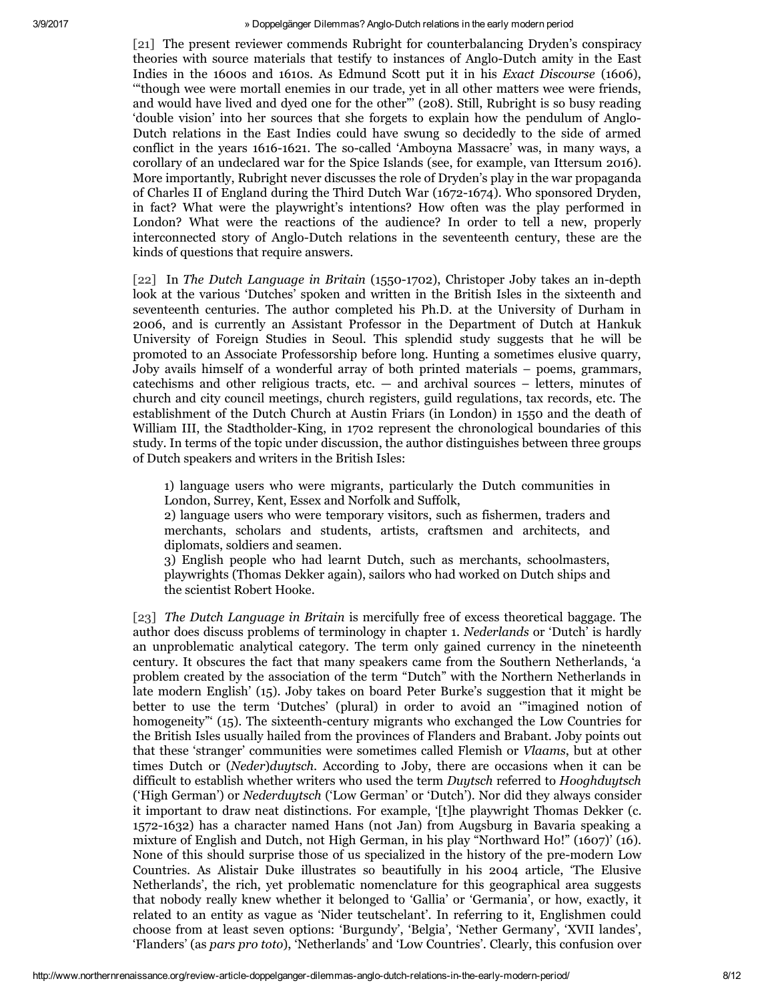[21] The present reviewer commends Rubright for counterbalancing Dryden's conspiracy theories with source materials that testify to instances of Anglo-Dutch amity in the East Indies in the 1600s and 1610s. As Edmund Scott put it in his *Exact Discourse* (1606), '"though wee were mortall enemies in our trade, yet in all other matters wee were friends, and would have lived and dyed one for the other"' (208). Still, Rubright is so busy reading 'double vision' into her sources that she forgets to explain how the pendulum of Anglo-Dutch relations in the East Indies could have swung so decidedly to the side of armed conflict in the years 1616-1621. The so-called 'Amboyna Massacre' was, in many ways, a corollary of an undeclared war for the Spice Islands (see, for example, van Ittersum 2016). More importantly, Rubright never discusses the role of Dryden's play in the war propaganda of Charles II of England during the Third Dutch War (1672-1674). Who sponsored Dryden, in fact? What were the playwright's intentions? How often was the play performed in London? What were the reactions of the audience? In order to tell a new, properly interconnected story of Anglo-Dutch relations in the seventeenth century, these are the kinds of questions that require answers.

[22] In *The Dutch Language in Britain* (15501702), Christoper Joby takes an indepth look at the various 'Dutches' spoken and written in the British Isles in the sixteenth and seventeenth centuries. The author completed his Ph.D. at the University of Durham in 2006, and is currently an Assistant Professor in the Department of Dutch at Hankuk University of Foreign Studies in Seoul. This splendid study suggests that he will be promoted to an Associate Professorship before long. Hunting a sometimes elusive quarry, Joby avails himself of a wonderful array of both printed materials – poems, grammars, catechisms and other religious tracts, etc.  $-$  and archival sources  $-$  letters, minutes of church and city council meetings, church registers, guild regulations, tax records, etc. The establishment of the Dutch Church at Austin Friars (in London) in 1550 and the death of William III, the Stadtholder-King, in 1702 represent the chronological boundaries of this study. In terms of the topic under discussion, the author distinguishes between three groups of Dutch speakers and writers in the British Isles:

1) language users who were migrants, particularly the Dutch communities in London, Surrey, Kent, Essex and Norfolk and Suffolk,

2) language users who were temporary visitors, such as fishermen, traders and merchants, scholars and students, artists, craftsmen and architects, and diplomats, soldiers and seamen.

3) English people who had learnt Dutch, such as merchants, schoolmasters, playwrights (Thomas Dekker again), sailors who had worked on Dutch ships and the scientist Robert Hooke.

[23] *The Dutch Language in Britain* is mercifully free of excess theoretical baggage. The author does discuss problems of terminology in chapter 1. *Nederlands* or 'Dutch' is hardly an unproblematic analytical category. The term only gained currency in the nineteenth century. It obscures the fact that many speakers came from the Southern Netherlands, 'a problem created by the association of the term "Dutch" with the Northern Netherlands in late modern English' (15). Joby takes on board Peter Burke's suggestion that it might be better to use the term 'Dutches' (plural) in order to avoid an '"imagined notion of homogeneity"' (15). The sixteenth-century migrants who exchanged the Low Countries for the British Isles usually hailed from the provinces of Flanders and Brabant. Joby points out that these 'stranger' communities were sometimes called Flemish or *Vlaams*, but at other times Dutch or (*Neder*)*duytsch*. According to Joby, there are occasions when it can be difficult to establish whether writers who used the term *Duytsch* referred to *Hooghduytsch* ('High German') or *Nederduytsch* ('Low German' or 'Dutch'). Nor did they always consider it important to draw neat distinctions. For example, '[t]he playwright Thomas Dekker (c. 1572-1632) has a character named Hans (not Jan) from Augsburg in Bavaria speaking a mixture of English and Dutch, not High German, in his play "Northward Ho!" (1607)' (16). None of this should surprise those of us specialized in the history of the pre-modern Low Countries. As Alistair Duke illustrates so beautifully in his 2004 article, 'The Elusive Netherlands', the rich, yet problematic nomenclature for this geographical area suggests that nobody really knew whether it belonged to 'Gallia' or 'Germania', or how, exactly, it related to an entity as vague as 'Nider teutschelant'. In referring to it, Englishmen could choose from at least seven options: 'Burgundy', 'Belgia', 'Nether Germany', 'XVII landes', 'Flanders' (as *pars pro toto*), 'Netherlands' and 'Low Countries'. Clearly, this confusion over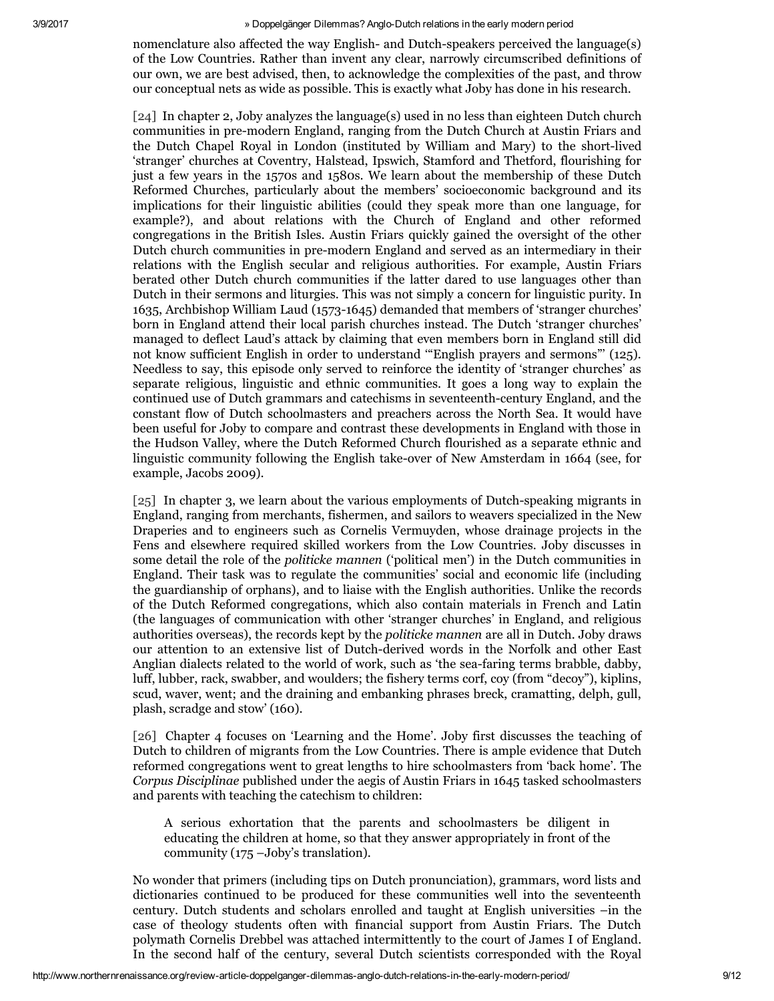nomenclature also affected the way English- and Dutch-speakers perceived the language(s) of the Low Countries. Rather than invent any clear, narrowly circumscribed definitions of our own, we are best advised, then, to acknowledge the complexities of the past, and throw our conceptual nets as wide as possible. This is exactly what Joby has done in his research.

[24] In chapter 2, Joby analyzes the language(s) used in no less than eighteen Dutch church communities in pre-modern England, ranging from the Dutch Church at Austin Friars and the Dutch Chapel Royal in London (instituted by William and Mary) to the short-lived 'stranger' churches at Coventry, Halstead, Ipswich, Stamford and Thetford, flourishing for just a few years in the 1570s and 1580s. We learn about the membership of these Dutch Reformed Churches, particularly about the members' socioeconomic background and its implications for their linguistic abilities (could they speak more than one language, for example?), and about relations with the Church of England and other reformed congregations in the British Isles. Austin Friars quickly gained the oversight of the other Dutch church communities in premodern England and served as an intermediary in their relations with the English secular and religious authorities. For example, Austin Friars berated other Dutch church communities if the latter dared to use languages other than Dutch in their sermons and liturgies. This was not simply a concern for linguistic purity. In 1635, Archbishop William Laud (15731645) demanded that members of 'stranger churches' born in England attend their local parish churches instead. The Dutch 'stranger churches' managed to deflect Laud's attack by claiming that even members born in England still did not know sufficient English in order to understand '"English prayers and sermons"' (125). Needless to say, this episode only served to reinforce the identity of 'stranger churches' as separate religious, linguistic and ethnic communities. It goes a long way to explain the continued use of Dutch grammars and catechisms in seventeenth-century England, and the constant flow of Dutch schoolmasters and preachers across the North Sea. It would have been useful for Joby to compare and contrast these developments in England with those in the Hudson Valley, where the Dutch Reformed Church flourished as a separate ethnic and linguistic community following the English take-over of New Amsterdam in 1664 (see, for example, Jacobs 2009).

 $[25]$  In chapter 3, we learn about the various employments of Dutch-speaking migrants in England, ranging from merchants, fishermen, and sailors to weavers specialized in the New Draperies and to engineers such as Cornelis Vermuyden, whose drainage projects in the Fens and elsewhere required skilled workers from the Low Countries. Joby discusses in some detail the role of the *politicke mannen* ('political men') in the Dutch communities in England. Their task was to regulate the communities' social and economic life (including the guardianship of orphans), and to liaise with the English authorities. Unlike the records of the Dutch Reformed congregations, which also contain materials in French and Latin (the languages of communication with other 'stranger churches' in England, and religious authorities overseas), the records kept by the *politicke mannen* are all in Dutch. Joby draws our attention to an extensive list of Dutch-derived words in the Norfolk and other East Anglian dialects related to the world of work, such as 'the seafaring terms brabble, dabby, luff, lubber, rack, swabber, and woulders; the fishery terms corf, coy (from "decoy"), kiplins, scud, waver, went; and the draining and embanking phrases breck, cramatting, delph, gull, plash, scradge and stow' (160).

[26] Chapter 4 focuses on 'Learning and the Home'. Joby first discusses the teaching of Dutch to children of migrants from the Low Countries. There is ample evidence that Dutch reformed congregations went to great lengths to hire schoolmasters from 'back home'. The *Corpus Disciplinae* published under the aegis of Austin Friars in 1645 tasked schoolmasters and parents with teaching the catechism to children:

A serious exhortation that the parents and schoolmasters be diligent in educating the children at home, so that they answer appropriately in front of the community (175 –Joby's translation).

No wonder that primers (including tips on Dutch pronunciation), grammars, word lists and dictionaries continued to be produced for these communities well into the seventeenth century. Dutch students and scholars enrolled and taught at English universities –in the case of theology students often with financial support from Austin Friars. The Dutch polymath Cornelis Drebbel was attached intermittently to the court of James I of England. In the second half of the century, several Dutch scientists corresponded with the Royal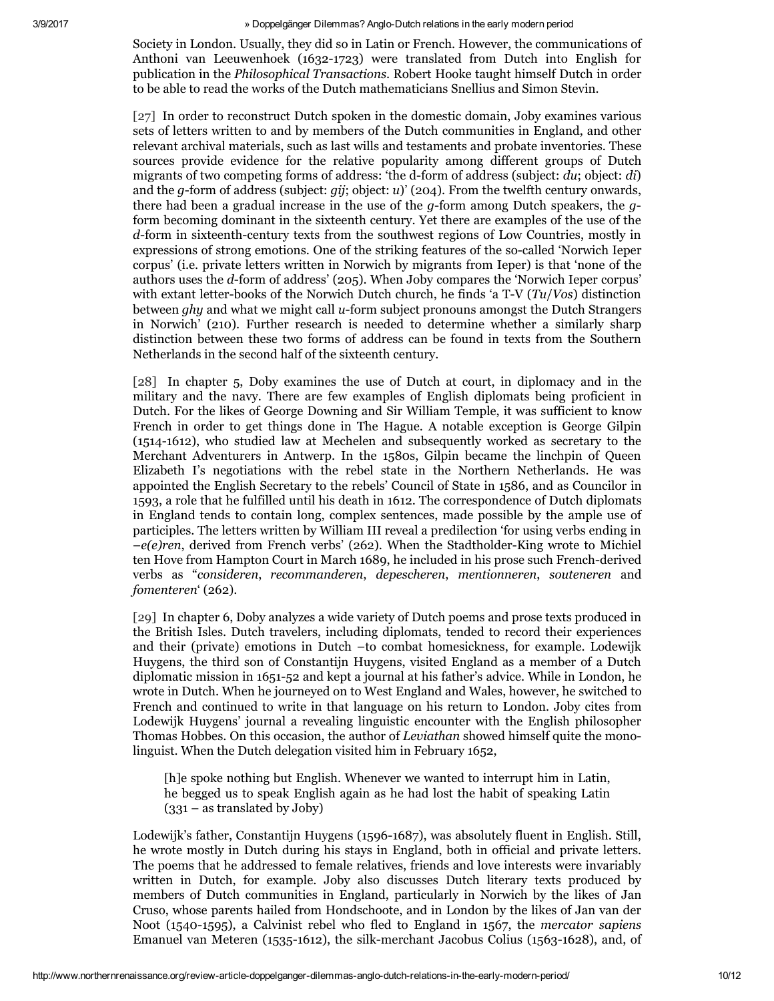Society in London. Usually, they did so in Latin or French. However, the communications of Anthoni van Leeuwenhoek (1632-1723) were translated from Dutch into English for publication in the *Philosophical Transactions*. Robert Hooke taught himself Dutch in order to be able to read the works of the Dutch mathematicians Snellius and Simon Stevin.

[27] In order to reconstruct Dutch spoken in the domestic domain, Joby examines various sets of letters written to and by members of the Dutch communities in England, and other relevant archival materials, such as last wills and testaments and probate inventories. These sources provide evidence for the relative popularity among different groups of Dutch migrants of two competing forms of address: 'the d-form of address (subject: *du*; object: *di*) and the *g*-form of address (subject: *gij*; object: *u*)' (204). From the twelfth century onwards, there had been a gradual increase in the use of the  $q$ -form among Dutch speakers, the  $q$ form becoming dominant in the sixteenth century. Yet there are examples of the use of the *d*-form in sixteenth-century texts from the southwest regions of Low Countries, mostly in expressions of strong emotions. One of the striking features of the socalled 'Norwich Ieper corpus' (i.e. private letters written in Norwich by migrants from Ieper) is that 'none of the authors uses the *d*form of address' (205). When Joby compares the 'Norwich Ieper corpus' with extant letter-books of the Norwich Dutch church, he finds 'a T-V (*Tu/Vos*) distinction between *ghy* and what we might call *u*-form subject pronouns amongst the Dutch Strangers in Norwich' (210). Further research is needed to determine whether a similarly sharp distinction between these two forms of address can be found in texts from the Southern Netherlands in the second half of the sixteenth century.

[28] In chapter 5, Doby examines the use of Dutch at court, in diplomacy and in the military and the navy. There are few examples of English diplomats being proficient in Dutch. For the likes of George Downing and Sir William Temple, it was sufficient to know French in order to get things done in The Hague. A notable exception is George Gilpin (1514-1612), who studied law at Mechelen and subsequently worked as secretary to the Merchant Adventurers in Antwerp. In the 1580s, Gilpin became the linchpin of Queen Elizabeth I's negotiations with the rebel state in the Northern Netherlands. He was appointed the English Secretary to the rebels' Council of State in 1586, and as Councilor in 1593, a role that he fulfilled until his death in 1612. The correspondence of Dutch diplomats in England tends to contain long, complex sentences, made possible by the ample use of participles. The letters written by William III reveal a predilection 'for using verbs ending in  $-e(e)$ ren, derived from French verbs' (262). When the Stadtholder-King wrote to Michiel ten Hove from Hampton Court in March 1689, he included in his prose such French-derived verbs as "*consideren*, *recommanderen*, *depescheren*, *mentionneren*, *souteneren* and *fomenteren*' (262).

[29] In chapter 6, Doby analyzes a wide variety of Dutch poems and prose texts produced in the British Isles. Dutch travelers, including diplomats, tended to record their experiences and their (private) emotions in Dutch –to combat homesickness, for example. Lodewijk Huygens, the third son of Constantijn Huygens, visited England as a member of a Dutch diplomatic mission in 1651-52 and kept a journal at his father's advice. While in London, he wrote in Dutch. When he journeyed on to West England and Wales, however, he switched to French and continued to write in that language on his return to London. Joby cites from Lodewijk Huygens' journal a revealing linguistic encounter with the English philosopher Thomas Hobbes. On this occasion, the author of *Leviathan* showed himself quite the monolinguist. When the Dutch delegation visited him in February 1652,

[h]e spoke nothing but English. Whenever we wanted to interrupt him in Latin, he begged us to speak English again as he had lost the habit of speaking Latin (331 – as translated by Joby)

Lodewijk's father, Constantijn Huygens (1596-1687), was absolutely fluent in English. Still, he wrote mostly in Dutch during his stays in England, both in official and private letters. The poems that he addressed to female relatives, friends and love interests were invariably written in Dutch, for example. Joby also discusses Dutch literary texts produced by members of Dutch communities in England, particularly in Norwich by the likes of Jan Cruso, whose parents hailed from Hondschoote, and in London by the likes of Jan van der Noot (1540-1595), a Calvinist rebel who fled to England in 1567, the *mercator* sapiens Emanuel van Meteren (1535-1612), the silk-merchant Jacobus Colius (1563-1628), and, of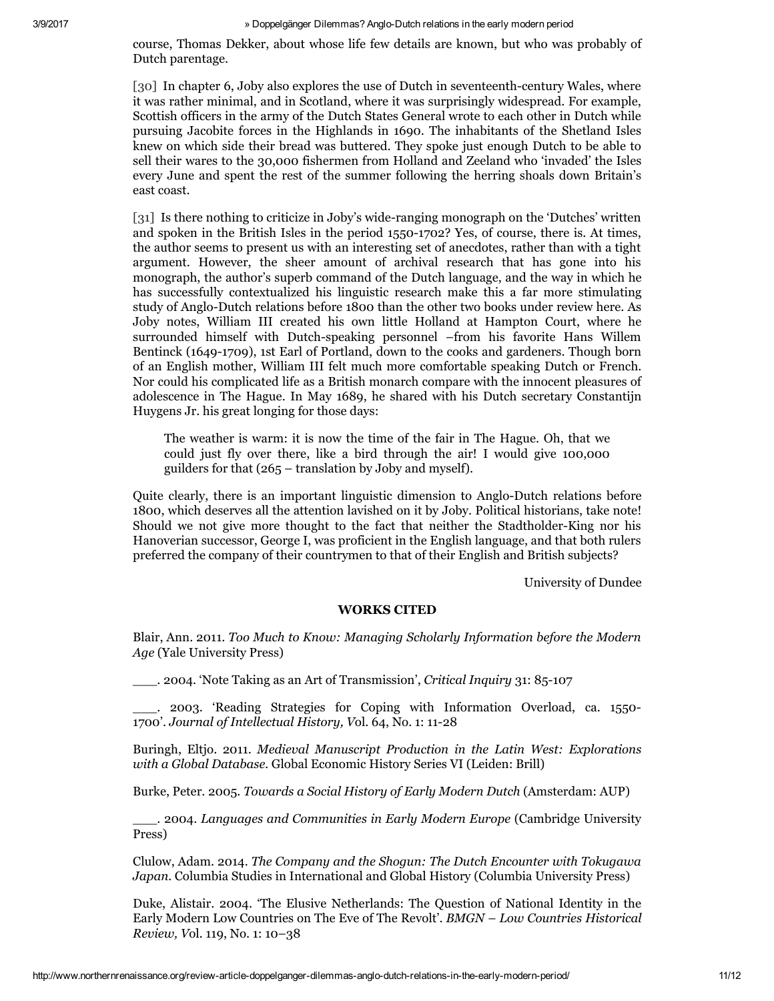course, Thomas Dekker, about whose life few details are known, but who was probably of Dutch parentage.

[30] In chapter 6, Joby also explores the use of Dutch in seventeenth-century Wales, where it was rather minimal, and in Scotland, where it was surprisingly widespread. For example, Scottish officers in the army of the Dutch States General wrote to each other in Dutch while pursuing Jacobite forces in the Highlands in 1690. The inhabitants of the Shetland Isles knew on which side their bread was buttered. They spoke just enough Dutch to be able to sell their wares to the 30,000 fishermen from Holland and Zeeland who 'invaded' the Isles every June and spent the rest of the summer following the herring shoals down Britain's east coast.

[31] Is there nothing to criticize in Joby's wideranging monograph on the 'Dutches' written and spoken in the British Isles in the period  $1550-1702$ ? Yes, of course, there is. At times, the author seems to present us with an interesting set of anecdotes, rather than with a tight argument. However, the sheer amount of archival research that has gone into his monograph, the author's superb command of the Dutch language, and the way in which he has successfully contextualized his linguistic research make this a far more stimulating study of Anglo-Dutch relations before 1800 than the other two books under review here. As Joby notes, William III created his own little Holland at Hampton Court, where he surrounded himself with Dutch-speaking personnel –from his favorite Hans Willem Bentinck (1649-1709), 1st Earl of Portland, down to the cooks and gardeners. Though born of an English mother, William III felt much more comfortable speaking Dutch or French. Nor could his complicated life as a British monarch compare with the innocent pleasures of adolescence in The Hague. In May 1689, he shared with his Dutch secretary Constantijn Huygens Jr. his great longing for those days:

The weather is warm: it is now the time of the fair in The Hague. Oh, that we could just fly over there, like a bird through the air! I would give 100,000 guilders for that (265 – translation by Joby and myself).

Quite clearly, there is an important linguistic dimension to Anglo-Dutch relations before 1800, which deserves all the attention lavished on it by Joby. Political historians, take note! Should we not give more thought to the fact that neither the Stadtholder-King nor his Hanoverian successor, George I, was proficient in the English language, and that both rulers preferred the company of their countrymen to that of their English and British subjects?

University of Dundee

### WORKS CITED

Blair, Ann. 2011. *Too Much to Know: Managing Scholarly Information before the Modern Age* (Yale University Press)

\_\_\_. 2004. 'Note Taking as an Art of Transmission', *Critical Inquiry* 31: 85107

\_\_\_. 2003. 'Reading Strategies for Coping with Information Overload, ca. 1550 1700'. *Journal of Intellectual History, V*ol. 64, No. 1: 1128

Buringh, Eltjo. 2011. *Medieval Manuscript Production in the Latin West: Explorations with a Global Database.* Global Economic History Series VI (Leiden: Brill)

Burke, Peter. 2005. *Towards a Social History of Early Modern Dutch* (Amsterdam: AUP)

\_\_\_. 2004. *Languages and Communities in Early Modern Europe* (Cambridge University Press)

Clulow, Adam. 2014. *The Company and the Shogun: The Dutch Encounter with Tokugawa Japan.* Columbia Studies in International and Global History (Columbia University Press)

Duke, Alistair. 2004. 'The Elusive Netherlands: The Question of National Identity in the Early Modern Low Countries on The Eve of The Revolt'. *BMGN – Low Countries Historical Review, V*ol*.* 119, No. 1: 10–38